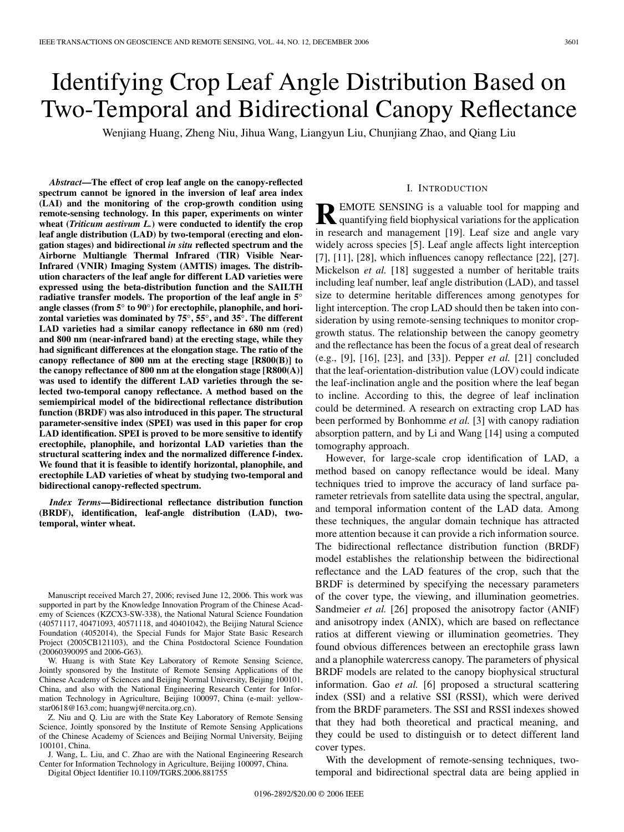# Identifying Crop Leaf Angle Distribution Based on Two-Temporal and Bidirectional Canopy Reflectance

Wenjiang Huang, Zheng Niu, Jihua Wang, Liangyun Liu, Chunjiang Zhao, and Qiang Liu

*Abstract***—The effect of crop leaf angle on the canopy-reflected spectrum cannot be ignored in the inversion of leaf area index (LAI) and the monitoring of the crop-growth condition using remote-sensing technology. In this paper, experiments on winter wheat (***Triticum aestivum L.***) were conducted to identify the crop leaf angle distribution (LAD) by two-temporal (erecting and elongation stages) and bidirectional** *in situ* **reflected spectrum and the Airborne Multiangle Thermal Infrared (TIR) Visible Near-Infrared (VNIR) Imaging System (AMTIS) images. The distribution characters of the leaf angle for different LAD varieties were expressed using the beta-distribution function and the SAILTH radiative transfer models. The proportion of the leaf angle in 5***◦* **angle classes (from 5***◦* **to 90***◦***) for erectophile, planophile, and horizontal varieties was dominated by 75***◦***, 55***◦***, and 35***◦***. The different LAD varieties had a similar canopy reflectance in 680 nm (red) and 800 nm (near-infrared band) at the erecting stage, while they had significant differences at the elongation stage. The ratio of the canopy reflectance of 800 nm at the erecting stage [R800(B)] to the canopy reflectance of 800 nm at the elongation stage [R800(A)] was used to identify the different LAD varieties through the selected two-temporal canopy reflectance. A method based on the semiempirical model of the bidirectional reflectance distribution function (BRDF) was also introduced in this paper. The structural parameter-sensitive index (SPEI) was used in this paper for crop LAD identification. SPEI is proved to be more sensitive to identify erectophile, planophile, and horizontal LAD varieties than the structural scattering index and the normalized difference f-index. We found that it is feasible to identify horizontal, planophile, and erectophile LAD varieties of wheat by studying two-temporal and bidirectional canopy-reflected spectrum.**

*Index Terms***—Bidirectional reflectance distribution function (BRDF), identification, leaf-angle distribution (LAD), twotemporal, winter wheat.**

Manuscript received March 27, 2006; revised June 12, 2006. This work was supported in part by the Knowledge Innovation Program of the Chinese Academy of Sciences (KZCX3-SW-338), the National Natural Science Foundation (40571117, 40471093, 40571118, and 40401042), the Beijing Natural Science Foundation (4052014), the Special Funds for Major State Basic Research Project (2005CB121103), and the China Postdoctoral Science Foundation (20060390095 and 2006-G63).

W. Huang is with State Key Laboratory of Remote Sensing Science, Jointly sponsored by the Institute of Remote Sensing Applications of the Chinese Academy of Sciences and Beijing Normal University, Beijing 100101, China, and also with the National Engineering Research Center for Information Technology in Agriculture, Beijing 100097, China (e-mail: yellowstar0618@163.com; huangwj@nercita.org.cn).

Z. Niu and Q. Liu are with the State Key Laboratory of Remote Sensing Science, Jointly sponsored by the Institute of Remote Sensing Applications of the Chinese Academy of Sciences and Beijing Normal University, Beijing 100101, China.

J. Wang, L. Liu, and C. Zhao are with the National Engineering Research Center for Information Technology in Agriculture, Beijing 100097, China.

Digital Object Identifier 10.1109/TGRS.2006.881755

# I. INTRODUCTION

**REMOTE SENSING** is a valuable tool for mapping and quantifying field biophysical variations for the application in research and management [19]. Leaf size and angle vary widely across species [5]. Leaf angle affects light interception [7], [11], [28], which influences canopy reflectance [22], [27]. Mickelson *et al.* [18] suggested a number of heritable traits including leaf number, leaf angle distribution (LAD), and tassel size to determine heritable differences among genotypes for light interception. The crop LAD should then be taken into consideration by using remote-sensing techniques to monitor cropgrowth status. The relationship between the canopy geometry and the reflectance has been the focus of a great deal of research (e.g., [9], [16], [23], and [33]). Pepper *et al.* [21] concluded that the leaf-orientation-distribution value (LOV) could indicate the leaf-inclination angle and the position where the leaf began to incline. According to this, the degree of leaf inclination could be determined. A research on extracting crop LAD has been performed by Bonhomme *et al.* [3] with canopy radiation absorption pattern, and by Li and Wang [14] using a computed tomography approach.

However, for large-scale crop identification of LAD, a method based on canopy reflectance would be ideal. Many techniques tried to improve the accuracy of land surface parameter retrievals from satellite data using the spectral, angular, and temporal information content of the LAD data. Among these techniques, the angular domain technique has attracted more attention because it can provide a rich information source. The bidirectional reflectance distribution function (BRDF) model establishes the relationship between the bidirectional reflectance and the LAD features of the crop, such that the BRDF is determined by specifying the necessary parameters of the cover type, the viewing, and illumination geometries. Sandmeier *et al.* [26] proposed the anisotropy factor (ANIF) and anisotropy index (ANIX), which are based on reflectance ratios at different viewing or illumination geometries. They found obvious differences between an erectophile grass lawn and a planophile watercress canopy. The parameters of physical BRDF models are related to the canopy biophysical structural information. Gao *et al.* [6] proposed a structural scattering index (SSI) and a relative SSI (RSSI), which were derived from the BRDF parameters. The SSI and RSSI indexes showed that they had both theoretical and practical meaning, and they could be used to distinguish or to detect different land cover types.

With the development of remote-sensing techniques, twotemporal and bidirectional spectral data are being applied in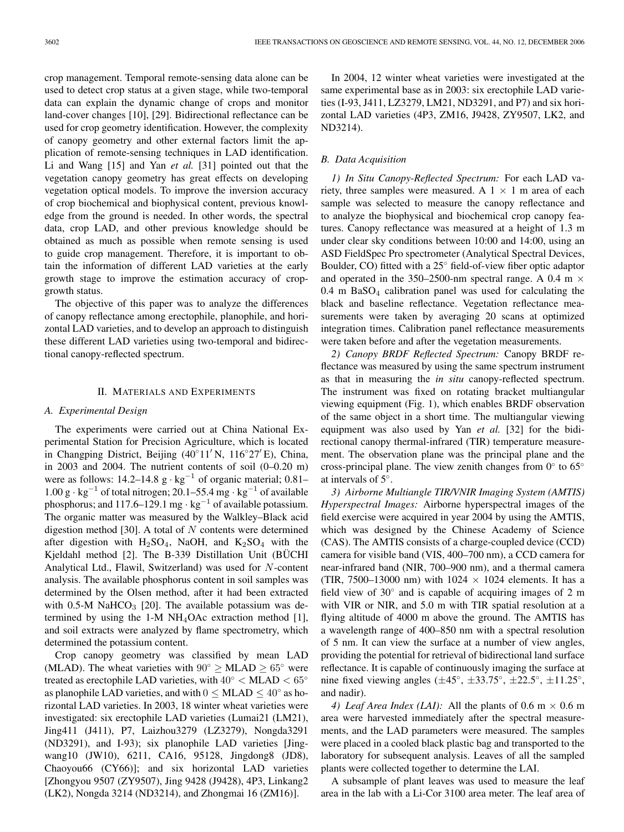crop management. Temporal remote-sensing data alone can be used to detect crop status at a given stage, while two-temporal data can explain the dynamic change of crops and monitor land-cover changes [10], [29]. Bidirectional reflectance can be used for crop geometry identification. However, the complexity of canopy geometry and other external factors limit the application of remote-sensing techniques in LAD identification. Li and Wang [15] and Yan *et al.* [31] pointed out that the vegetation canopy geometry has great effects on developing vegetation optical models. To improve the inversion accuracy of crop biochemical and biophysical content, previous knowledge from the ground is needed. In other words, the spectral data, crop LAD, and other previous knowledge should be obtained as much as possible when remote sensing is used to guide crop management. Therefore, it is important to obtain the information of different LAD varieties at the early growth stage to improve the estimation accuracy of cropgrowth status.

The objective of this paper was to analyze the differences of canopy reflectance among erectophile, planophile, and horizontal LAD varieties, and to develop an approach to distinguish these different LAD varieties using two-temporal and bidirectional canopy-reflected spectrum.

## II. MATERIALS AND EXPERIMENTS

## *A. Experimental Design*

The experiments were carried out at China National Experimental Station for Precision Agriculture, which is located in Changping District, Beijing (40°11′N, 116°27′E), China, in 2003 and 2004. The nutrient contents of soil (0–0.20 m) were as follows:  $14.2-14.8 \text{ g} \cdot \text{kg}^{-1}$  of organic material; 0.81–  $1.00 \text{ g} \cdot \text{kg}^{-1}$  of total nitrogen; 20.1–55.4 mg · kg<sup>-1</sup> of available phosphorus; and 117.6–129.1 mg  $\cdot$  kg<sup>-1</sup> of available potassium. The organic matter was measured by the Walkley–Black acid digestion method [30]. A total of  $N$  contents were determined after digestion with  $H_2SO_4$ , NaOH, and  $K_2SO_4$  with the Kjeldahl method [2]. The B-339 Distillation Unit (BÜCHI Analytical Ltd., Flawil, Switzerland) was used for N-content analysis. The available phosphorus content in soil samples was determined by the Olsen method, after it had been extracted with 0.5-M NaHCO<sub>3</sub> [20]. The available potassium was determined by using the 1-M NH<sub>4</sub>OAc extraction method [1], and soil extracts were analyzed by flame spectrometry, which determined the potassium content.

Crop canopy geometry was classified by mean LAD (MLAD). The wheat varieties with  $90° > MLAD > 65°$  were treated as erectophile LAD varieties, with  $40^{\circ}$  < MLAD <  $65^{\circ}$ as planophile LAD varieties, and with  $0 \leq M$ LAD  $\leq 40^\circ$  as horizontal LAD varieties. In 2003, 18 winter wheat varieties were investigated: six erectophile LAD varieties (Lumai21 (LM21), Jing411 (J411), P7, Laizhou3279 (LZ3279), Nongda3291 (ND3291), and I-93); six planophile LAD varieties [Jingwang10 (JW10), 6211, CA16, 95128, Jingdong8 (JD8), Chaoyou66 (CY66)]; and six horizontal LAD varieties [Zhongyou 9507 (ZY9507), Jing 9428 (J9428), 4P3, Linkang2 (LK2), Nongda 3214 (ND3214), and Zhongmai 16 (ZM16)].

In 2004, 12 winter wheat varieties were investigated at the same experimental base as in 2003: six erectophile LAD varieties (I-93, J411, LZ3279, LM21, ND3291, and P7) and six horizontal LAD varieties (4P3, ZM16, J9428, ZY9507, LK2, and ND3214).

### *B. Data Acquisition*

*1) In Situ Canopy-Reflected Spectrum:* For each LAD variety, three samples were measured. A  $1 \times 1$  m area of each sample was selected to measure the canopy reflectance and to analyze the biophysical and biochemical crop canopy features. Canopy reflectance was measured at a height of 1.3 m under clear sky conditions between 10:00 and 14:00, using an ASD FieldSpec Pro spectrometer (Analytical Spectral Devices, Boulder, CO) fitted with a 25◦ field-of-view fiber optic adaptor and operated in the 350–2500-nm spectral range. A 0.4 m  $\times$  $0.4$  m BaSO<sub>4</sub> calibration panel was used for calculating the black and baseline reflectance. Vegetation reflectance measurements were taken by averaging 20 scans at optimized integration times. Calibration panel reflectance measurements were taken before and after the vegetation measurements.

*2) Canopy BRDF Reflected Spectrum:* Canopy BRDF reflectance was measured by using the same spectrum instrument as that in measuring the *in situ* canopy-reflected spectrum. The instrument was fixed on rotating bracket multiangular viewing equipment (Fig. 1), which enables BRDF observation of the same object in a short time. The multiangular viewing equipment was also used by Yan *et al.* [32] for the bidirectional canopy thermal-infrared (TIR) temperature measurement. The observation plane was the principal plane and the cross-principal plane. The view zenith changes from  $0°$  to  $65°$ at intervals of 5◦.

*3) Airborne Multiangle TIR/VNIR Imaging System (AMTIS) Hyperspectral Images:* Airborne hyperspectral images of the field exercise were acquired in year 2004 by using the AMTIS, which was designed by the Chinese Academy of Science (CAS). The AMTIS consists of a charge-coupled device (CCD) camera for visible band (VIS, 400–700 nm), a CCD camera for near-infrared band (NIR, 700–900 nm), and a thermal camera (TIR, 7500–13000 nm) with  $1024 \times 1024$  elements. It has a field view of 30° and is capable of acquiring images of 2 m with VIR or NIR, and 5.0 m with TIR spatial resolution at a flying altitude of 4000 m above the ground. The AMTIS has a wavelength range of 400–850 nm with a spectral resolution of 5 nm. It can view the surface at a number of view angles, providing the potential for retrieval of bidirectional land surface reflectance. It is capable of continuously imaging the surface at nine fixed viewing angles  $(\pm 45^\circ, \pm 33.75^\circ, \pm 22.5^\circ, \pm 11.25^\circ,$ and nadir).

*4) Leaf Area Index (LAI):* All the plants of 0.6 m  $\times$  0.6 m area were harvested immediately after the spectral measurements, and the LAD parameters were measured. The samples were placed in a cooled black plastic bag and transported to the laboratory for subsequent analysis. Leaves of all the sampled plants were collected together to determine the LAI.

A subsample of plant leaves was used to measure the leaf area in the lab with a Li-Cor 3100 area meter. The leaf area of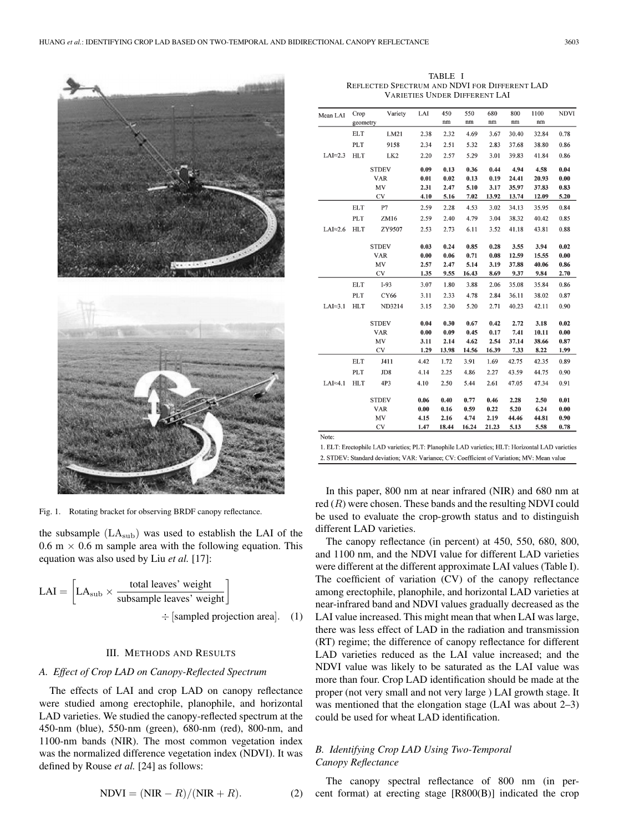



Fig. 1. Rotating bracket for observing BRDF canopy reflectance.

the subsample  $(LA<sub>sub</sub>)$  was used to establish the LAI of the 0.6 m  $\times$  0.6 m sample area with the following equation. This equation was also used by Liu *et al.* [17]:

$$
LAI = \left[ LA_{sub} \times \frac{\text{total leaves' weight}}{\text{subsample leaves' weight}} \right] \\
\div \left[ \text{sampled projection area} \right]. \quad (1)
$$

## III. METHODS AND RESULTS

## *A. Effect of Crop LAD on Canopy-Reflected Spectrum*

The effects of LAI and crop LAD on canopy reflectance were studied among erectophile, planophile, and horizontal LAD varieties. We studied the canopy-reflected spectrum at the 450-nm (blue), 550-nm (green), 680-nm (red), 800-nm, and 1100-nm bands (NIR). The most common vegetation index was the normalized difference vegetation index (NDVI). It was defined by Rouse *et al.* [24] as follows:

$$
NDVI = (NIR - R)/(NIR + R).
$$
 (2)

TABLE I REFLECTED SPECTRUM AND NDVI FOR DIFFERENT LAD VARIETIES UNDER DIFFERENT LAI

| $LAI \approx 2.3$<br>$LAI \approx 2.6$ | geometry<br><b>ELT</b><br>PLT<br><b>HLT</b><br><b>ELT</b><br>PLT<br><b>HLT</b> | LM21<br>9158<br>LK <sub>2</sub><br><b>STDEV</b><br><b>VAR</b><br>MV<br>CV<br>P7<br>ZM16 | 2.38<br>2.34<br>2.20<br>0.09<br>0.01<br>2.31<br>4.10<br>2.59 | nm<br>2.32<br>2.51<br>2.57<br>0.13<br>0.02<br>2.47<br>5.16 | nm<br>4.69<br>5.32<br>5.29<br>0.36<br>0.13<br>5.10 | $\rm{nm}$<br>3.67<br>2.83<br>3.01<br>0.44<br>0.19<br>3.17 | nm<br>30.40<br>37.68<br>39.83<br>4.94<br>24.41 | nm<br>32.84<br>38.80<br>41.84<br>4.58<br>20.93 | 0.78<br>0.86<br>0.86<br>0.04<br>0.00 |
|----------------------------------------|--------------------------------------------------------------------------------|-----------------------------------------------------------------------------------------|--------------------------------------------------------------|------------------------------------------------------------|----------------------------------------------------|-----------------------------------------------------------|------------------------------------------------|------------------------------------------------|--------------------------------------|
|                                        |                                                                                |                                                                                         |                                                              |                                                            |                                                    |                                                           |                                                |                                                |                                      |
|                                        |                                                                                |                                                                                         |                                                              |                                                            |                                                    |                                                           |                                                |                                                |                                      |
|                                        |                                                                                |                                                                                         |                                                              |                                                            |                                                    |                                                           |                                                |                                                |                                      |
|                                        |                                                                                |                                                                                         |                                                              |                                                            |                                                    |                                                           |                                                |                                                |                                      |
|                                        |                                                                                |                                                                                         |                                                              |                                                            |                                                    |                                                           |                                                |                                                |                                      |
|                                        |                                                                                |                                                                                         |                                                              |                                                            |                                                    |                                                           |                                                |                                                |                                      |
|                                        |                                                                                |                                                                                         |                                                              |                                                            |                                                    |                                                           | 35.97                                          | 37.83                                          | 0.83                                 |
|                                        |                                                                                |                                                                                         |                                                              |                                                            | 7.02                                               | 13.92                                                     | 13.74                                          | 12.09                                          | 5.20                                 |
|                                        |                                                                                |                                                                                         |                                                              | 2.28                                                       | 4.53                                               | 3.02                                                      | 34.13                                          | 35.95                                          | 0.84                                 |
|                                        |                                                                                |                                                                                         | 2.59                                                         | 2.40                                                       | 4.79                                               | 3.04                                                      | 38.32                                          | 40.42                                          | 0.85                                 |
|                                        |                                                                                | ZY9507                                                                                  | 2.53                                                         | 2.73                                                       | 6.11                                               | 3.52                                                      | 41.18                                          | 43.81                                          | 0.88                                 |
|                                        |                                                                                | <b>STDEV</b>                                                                            | 0.03                                                         | 0.24                                                       | 0.85                                               | 0.28                                                      | 3.55                                           | 3.94                                           | 0.02                                 |
|                                        |                                                                                | <b>VAR</b>                                                                              | 0.00                                                         | 0.06                                                       | 0.71                                               | 0.08                                                      | 12.59                                          | 15.55                                          | 0.00                                 |
|                                        |                                                                                | MV                                                                                      | 2.57                                                         | 2.47                                                       | 5.14                                               | 3.19                                                      | 37.88                                          | 40.06                                          | 0.86                                 |
|                                        |                                                                                | CV                                                                                      | 1.35                                                         | 9.55                                                       | 16.43                                              | 8.69                                                      | 9.37                                           | 9.84                                           | 2.70                                 |
|                                        | <b>ELT</b>                                                                     | $I-93$                                                                                  | 3.07                                                         | 1.80                                                       | 3.88                                               | 2.06                                                      | 35.08                                          | 35.84                                          | 0.86                                 |
|                                        | PLT                                                                            | <b>CY66</b>                                                                             | 3.11                                                         | 2.33                                                       | 4.78                                               | 2.84                                                      | 36.11                                          | 38.02                                          | 0.87                                 |
| $LAI \approx 3.1$                      | <b>HLT</b>                                                                     | ND3214                                                                                  | 3.15                                                         | 2.30                                                       | 5.20                                               | 2.71                                                      | 40.23                                          | 42.11                                          | 0.90                                 |
|                                        |                                                                                | <b>STDEV</b>                                                                            | 0.04                                                         | 0.30                                                       | 0.67                                               | 0.42                                                      | 2.72                                           | 3.18                                           | 0.02                                 |
|                                        |                                                                                | <b>VAR</b>                                                                              | 0.00                                                         | 0.09                                                       | 0.45                                               | 0.17                                                      | 7.41                                           | 10.11                                          | 0.00                                 |
|                                        |                                                                                | MV                                                                                      | 3.11                                                         | 2.14                                                       | 4.62                                               | 2.54                                                      | 37.14                                          | 38.66                                          | 0.87                                 |
|                                        |                                                                                | <b>CV</b>                                                                               | 1.29                                                         | 13.98                                                      | 14.56                                              | 16.39                                                     | 7.33                                           | 8.22                                           | 1.99                                 |
|                                        | <b>ELT</b>                                                                     | J411                                                                                    | 4.42                                                         | 1.72                                                       | 3.91                                               | 1.69                                                      | 42.75                                          | 42.35                                          | 0.89                                 |
|                                        | PLT                                                                            | JD8                                                                                     | 4.14                                                         | 2.25                                                       | 4.86                                               | 2.27                                                      | 43.59                                          | 44.75                                          | 0.90                                 |
| $LAI \approx 4.1$                      | <b>HLT</b>                                                                     | 4P3                                                                                     | 4.10                                                         | 2.50                                                       | 5.44                                               | 2.61                                                      | 47.05                                          | 47.34                                          | 0.91                                 |
|                                        |                                                                                | <b>STDEV</b>                                                                            | 0.06                                                         | 0.40                                                       | 0.77                                               | 0.46                                                      | 2.28                                           | 2.50                                           | 0.01                                 |
|                                        |                                                                                | <b>VAR</b>                                                                              | 0.00                                                         | 0.16                                                       | 0.59                                               | 0.22                                                      | 5.20                                           | 6.24                                           | 0.00                                 |
|                                        |                                                                                | MV                                                                                      | 4.15                                                         | 2.16                                                       | 4.74                                               | 2.19                                                      | 44.46                                          | 44.81                                          | 0.90                                 |
|                                        |                                                                                | <b>CV</b>                                                                               | 1.47                                                         | 18.44                                                      | 16.24                                              | 21.23                                                     | 5.13                                           | 5.58                                           | 0.78                                 |

1. ELT: Erectophile LAD varieties; PLT: Planophile LAD varieties; HLT: Horizontal LAD varieties 2. STDEV: Standard deviation; VAR: Variance; CV: Coefficient of Variation; MV: Mean value

In this paper, 800 nm at near infrared (NIR) and 680 nm at red  $(R)$  were chosen. These bands and the resulting NDVI could be used to evaluate the crop-growth status and to distinguish different LAD varieties.

The canopy reflectance (in percent) at 450, 550, 680, 800, and 1100 nm, and the NDVI value for different LAD varieties were different at the different approximate LAI values (Table I). The coefficient of variation (CV) of the canopy reflectance among erectophile, planophile, and horizontal LAD varieties at near-infrared band and NDVI values gradually decreased as the LAI value increased. This might mean that when LAI was large, there was less effect of LAD in the radiation and transmission (RT) regime; the difference of canopy reflectance for different LAD varieties reduced as the LAI value increased; and the NDVI value was likely to be saturated as the LAI value was more than four. Crop LAD identification should be made at the proper (not very small and not very large ) LAI growth stage. It was mentioned that the elongation stage (LAI was about 2–3) could be used for wheat LAD identification.

# *B. Identifying Crop LAD Using Two-Temporal Canopy Reflectance*

The canopy spectral reflectance of 800 nm (in percent format) at erecting stage [R800(B)] indicated the crop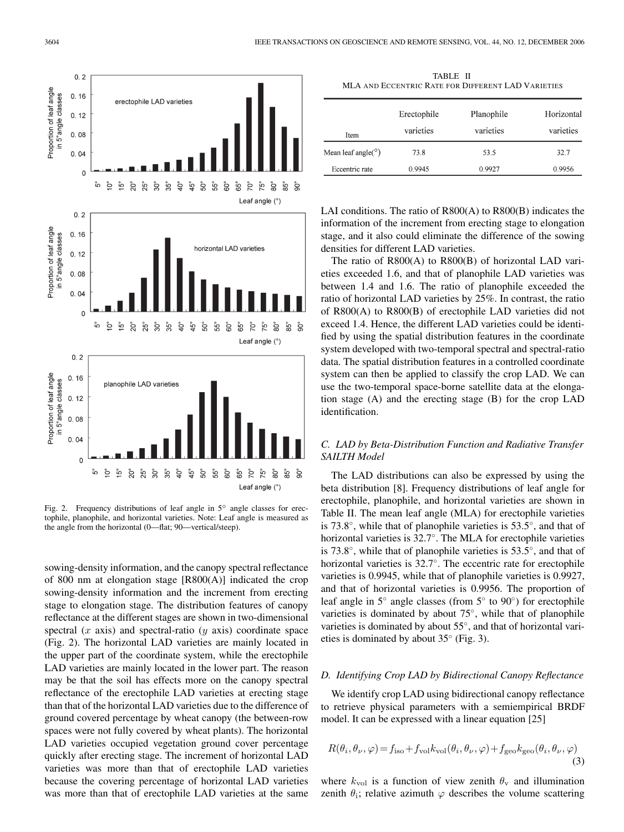

Fig. 2. Frequency distributions of leaf angle in 5◦ angle classes for erectophile, planophile, and horizontal varieties. Note: Leaf angle is measured as the angle from the horizontal (0—flat; 90—vertical/steep).

sowing-density information, and the canopy spectral reflectance of 800 nm at elongation stage [R800(A)] indicated the crop sowing-density information and the increment from erecting stage to elongation stage. The distribution features of canopy reflectance at the different stages are shown in two-dimensional spectral  $(x \text{ axis})$  and spectral-ratio  $(y \text{ axis})$  coordinate space (Fig. 2). The horizontal LAD varieties are mainly located in the upper part of the coordinate system, while the erectophile LAD varieties are mainly located in the lower part. The reason may be that the soil has effects more on the canopy spectral reflectance of the erectophile LAD varieties at erecting stage than that of the horizontal LAD varieties due to the difference of ground covered percentage by wheat canopy (the between-row spaces were not fully covered by wheat plants). The horizontal LAD varieties occupied vegetation ground cover percentage quickly after erecting stage. The increment of horizontal LAD varieties was more than that of erectophile LAD varieties because the covering percentage of horizontal LAD varieties was more than that of erectophile LAD varieties at the same

TABLE II MLA AND ECCENTRIC RATE FOR DIFFERENT LAD VARIETIES

| Item                       | Erectophile<br>varieties | Planophile<br>varieties | Horizontal<br>varieties |
|----------------------------|--------------------------|-------------------------|-------------------------|
| Mean leaf angle( $\circ$ ) | 73.8                     | 53.5                    | 32.7                    |
| Eccentric rate             | 0.9945                   | 0.9927                  | 0.9956                  |

LAI conditions. The ratio of R800(A) to R800(B) indicates the information of the increment from erecting stage to elongation stage, and it also could eliminate the difference of the sowing densities for different LAD varieties.

The ratio of R800(A) to R800(B) of horizontal LAD varieties exceeded 1.6, and that of planophile LAD varieties was between 1.4 and 1.6. The ratio of planophile exceeded the ratio of horizontal LAD varieties by 25%. In contrast, the ratio of R800(A) to R800(B) of erectophile LAD varieties did not exceed 1.4. Hence, the different LAD varieties could be identified by using the spatial distribution features in the coordinate system developed with two-temporal spectral and spectral-ratio data. The spatial distribution features in a controlled coordinate system can then be applied to classify the crop LAD. We can use the two-temporal space-borne satellite data at the elongation stage (A) and the erecting stage (B) for the crop LAD identification.

# *C. LAD by Beta-Distribution Function and Radiative Transfer SAILTH Model*

The LAD distributions can also be expressed by using the beta distribution [8]. Frequency distributions of leaf angle for erectophile, planophile, and horizontal varieties are shown in Table II. The mean leaf angle (MLA) for erectophile varieties is 73.8◦, while that of planophile varieties is 53.5◦, and that of horizontal varieties is 32.7◦. The MLA for erectophile varieties is 73.8◦, while that of planophile varieties is 53.5◦, and that of horizontal varieties is 32.7◦. The eccentric rate for erectophile varieties is 0.9945, while that of planophile varieties is 0.9927, and that of horizontal varieties is 0.9956. The proportion of leaf angle in 5◦ angle classes (from 5◦ to 90◦) for erectophile varieties is dominated by about 75◦, while that of planophile varieties is dominated by about 55◦, and that of horizontal varieties is dominated by about  $35°$  (Fig. 3).

## *D. Identifying Crop LAD by Bidirectional Canopy Reflectance*

We identify crop LAD using bidirectional canopy reflectance to retrieve physical parameters with a semiempirical BRDF model. It can be expressed with a linear equation [25]

$$
R(\theta_i, \theta_\nu, \varphi) = f_{\text{iso}} + f_{\text{vol}} k_{\text{vol}}(\theta_i, \theta_\nu, \varphi) + f_{\text{geo}} k_{\text{geo}}(\theta_i, \theta_\nu, \varphi)
$$
(3)

where  $k_{\text{vol}}$  is a function of view zenith  $\theta_{\text{v}}$  and illumination zenith  $\theta_i$ ; relative azimuth  $\varphi$  describes the volume scattering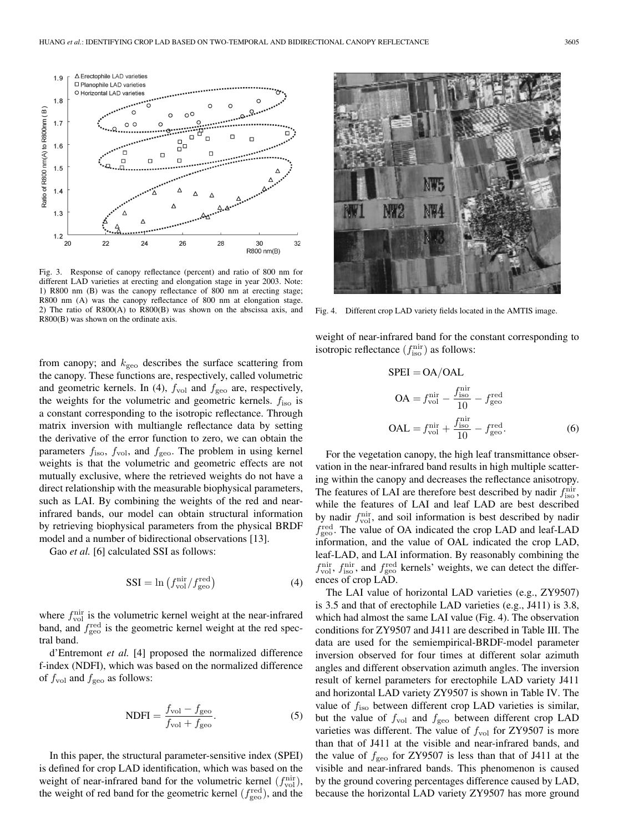

Fig. 3. Response of canopy reflectance (percent) and ratio of 800 nm for different LAD varieties at erecting and elongation stage in year 2003. Note: 1) R800 nm (B) was the canopy reflectance of 800 nm at erecting stage; R800 nm (A) was the canopy reflectance of 800 nm at elongation stage. 2) The ratio of R800(A) to R800(B) was shown on the abscissa axis, and R800(B) was shown on the ordinate axis.

from canopy; and  $k_{\text{geo}}$  describes the surface scattering from the canopy. These functions are, respectively, called volumetric and geometric kernels. In (4),  $f_{\text{vol}}$  and  $f_{\text{geo}}$  are, respectively, the weights for the volumetric and geometric kernels.  $f_{\text{iso}}$  is a constant corresponding to the isotropic reflectance. Through matrix inversion with multiangle reflectance data by setting the derivative of the error function to zero, we can obtain the parameters  $f_{\text{iso}}$ ,  $f_{\text{vol}}$ , and  $f_{\text{geo}}$ . The problem in using kernel weights is that the volumetric and geometric effects are not mutually exclusive, where the retrieved weights do not have a direct relationship with the measurable biophysical parameters, such as LAI. By combining the weights of the red and nearinfrared bands, our model can obtain structural information by retrieving biophysical parameters from the physical BRDF model and a number of bidirectional observations [13].

Gao *et al.* [6] calculated SSI as follows:

$$
SSI = \ln \left( f_{\text{vol}}^{\text{nir}} / f_{\text{geo}}^{\text{red}} \right) \tag{4}
$$

where  $f_{\text{vol}}^{\text{nir}}$  is the volumetric kernel weight at the near-infrared band, and  $f_{\text{geo}}^{\text{red}}$  is the geometric kernel weight at the red spectral band.

d'Entremont *et al.* [4] proposed the normalized difference f-index (NDFI), which was based on the normalized difference of  $f_{\text{vol}}$  and  $f_{\text{geo}}$  as follows:

$$
NDFI = \frac{f_{\text{vol}} - f_{\text{geo}}}{f_{\text{vol}} + f_{\text{geo}}}.
$$
\n(5)

In this paper, the structural parameter-sensitive index (SPEI) is defined for crop LAD identification, which was based on the weight of near-infrared band for the volumetric kernel  $(f_{\text{vol}}^{\text{nir}})$ , the weight of red band for the geometric kernel  $(f_{\text{geo}}^{\text{red}})$ , and the



Fig. 4. Different crop LAD variety fields located in the AMTIS image.

weight of near-infrared band for the constant corresponding to isotropic reflectance  $(f_{\text{iso}}^{\text{nir}})$  as follows:

$$
SPEI = OA/OAL
$$
  
\n
$$
OA = f_{vol}^{nir} - \frac{f_{iso}^{nir}}{10} - f_{geo}^{red}
$$
  
\n
$$
OAL = f_{vol}^{nir} + \frac{f_{iso}^{nir}}{10} - f_{geo}^{red}.
$$
\n(6)

For the vegetation canopy, the high leaf transmittance observation in the near-infrared band results in high multiple scattering within the canopy and decreases the reflectance anisotropy. The features of LAI are therefore best described by nadir  $f_{\text{iso}}^{\text{nir}},$ while the features of LAI and leaf LAD are best described by nadir  $f_{\text{vol}}^{\text{nir}}$ , and soil information is best described by nadir  $f_{\text{geo}}^{\text{red}}$ . The value of OA indicated the crop LAD and leaf-LAD information, and the value of OAL indicated the crop LAD, leaf-LAD, and LAI information. By reasonably combining the  $f_{\text{vol}}^{\text{nir}}, f_{\text{iso}}^{\text{nir}},$  and  $f_{\text{geo}}^{\text{red}}$  kernels' weights, we can detect the differences of crop LAD.

The LAI value of horizontal LAD varieties (e.g., ZY9507) is 3.5 and that of erectophile LAD varieties (e.g., J411) is 3.8, which had almost the same LAI value (Fig. 4). The observation conditions for ZY9507 and J411 are described in Table III. The data are used for the semiempirical-BRDF-model parameter inversion observed for four times at different solar azimuth angles and different observation azimuth angles. The inversion result of kernel parameters for erectophile LAD variety J411 and horizontal LAD variety ZY9507 is shown in Table IV. The value of  $f_{\text{iso}}$  between different crop LAD varieties is similar, but the value of  $f_{\text{vol}}$  and  $f_{\text{geo}}$  between different crop LAD varieties was different. The value of  $f_{\text{vol}}$  for ZY9507 is more than that of J411 at the visible and near-infrared bands, and the value of  $f_{\text{geo}}$  for ZY9507 is less than that of J411 at the visible and near-infrared bands. This phenomenon is caused by the ground covering percentages difference caused by LAD, because the horizontal LAD variety ZY9507 has more ground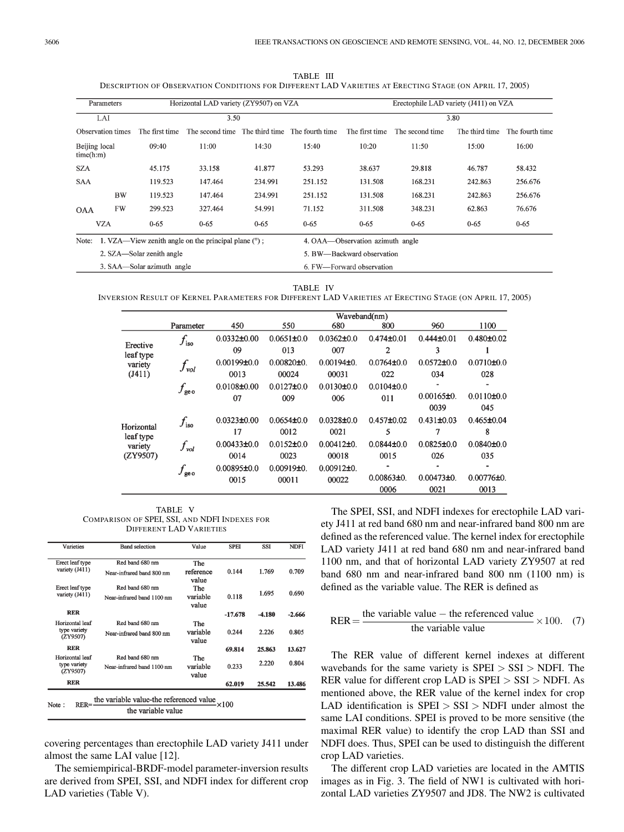TABLE III DESCRIPTION OF OBSERVATION CONDITIONS FOR DIFFERENT LAD VARIETIES AT ERECTING STAGE (ON APRIL 17, 2005)

|                            | Parameters                 |                           | Horizontal LAD variety (ZY9507) on VZA               |          |          | Erectophile LAD variety (J411) on VZA |                 |                |                 |  |
|----------------------------|----------------------------|---------------------------|------------------------------------------------------|----------|----------|---------------------------------------|-----------------|----------------|-----------------|--|
|                            | LAI                        |                           | 3.50                                                 |          |          | 3.80                                  |                 |                |                 |  |
|                            | Observation times          | The first time            | The second time The third time The fourth time       |          |          | The first time                        | The second time | The third time | The fourth time |  |
| Beijing local<br>time(h:m) |                            | 09:40                     | 11:00                                                | 14:30    | 15:40    | 10:20                                 | 11:50           | 15:00          | 16:00           |  |
| <b>SZA</b>                 |                            | 45.175                    | 33.158                                               | 41.877   | 53.293   | 38.637                                | 29.818          | 46.787         | 58.432          |  |
| <b>SAA</b>                 |                            | 119.523                   | 147.464                                              | 234.991  | 251.152  | 131.508                               | 168.231         | 242.863        | 256.676         |  |
|                            | <b>BW</b>                  | 119.523                   | 147.464                                              | 234.991  | 251.152  | 131.508                               | 168.231         | 242.863        | 256.676         |  |
| <b>OAA</b>                 | FW                         | 299.523                   | 327.464                                              | 54.991   | 71.152   | 311.508                               | 348.231         | 62.863         | 76.676          |  |
|                            | <b>VZA</b>                 | $0 - 65$                  | $0 - 65$                                             | $0 - 65$ | $0 - 65$ | $0 - 65$                              | $0 - 65$        | $0 - 65$       | $0 - 65$        |  |
| Note:                      |                            |                           | 1. VZA—View zenith angle on the principal plane (°); |          |          | 4. OAA—Observation azimuth angle      |                 |                |                 |  |
|                            |                            | 2. SZA—Solar zenith angle |                                                      |          |          | 5. BW-Backward observation            |                 |                |                 |  |
|                            | 3. SAA—Solar azimuth angle |                           |                                                      |          |          | 6. FW—Forward observation             |                 |                |                 |  |

#### TABLE IV

INVERSION RESULT OF KERNEL PARAMETERS FOR DIFFERENT LAD VARIETIES AT ERECTING STAGE (ON APRIL 17, 2005)

|                                                |                  | Waveband(nm)      |                  |                  |                  |                    |                         |
|------------------------------------------------|------------------|-------------------|------------------|------------------|------------------|--------------------|-------------------------|
|                                                | Parameter        | 450               | 550              | 680              | 800              | 960                | 1100                    |
| Erective                                       | $f_{\rm iso}$    | $0.0332 \pm 0.00$ | $0.0651 \pm 0.0$ | $0.0362 \pm 0.0$ | $0.474 \pm 0.01$ | $0.444\pm0.01$     | $0.480 \pm 0.02$        |
| leaf type                                      |                  | 09                | 013              | 007              | 2                | 3                  |                         |
| variety                                        | $f_{\tiny vol}$  | $0.00199\pm0.0$   | $0.00820 + 0.$   | $0.00194\pm0.$   | $0.0764\pm0.0$   | $0.0572 \pm 0.0$   | $0.0710 \pm 0.0$        |
| (J411)                                         |                  | 0013              | 00024            | 00031            | 022              | 034                | 028                     |
| Horizontal<br>leaf type<br>variety<br>(ZY9507) | $f_\mathrm{geo}$ | $0.0108 \pm 0.00$ | $0.0127 + 0.0$   | $0.0130 \pm 0.0$ | $0.0104 \pm 0.0$ |                    |                         |
|                                                |                  | 07                | 009              | 006              | 011              | 0.00165±0.<br>0039 | $0.0110 \pm 0.0$<br>045 |
|                                                | $f_{\rm{iso}}$   | $0.0323 \pm 0.00$ | $0.0654\pm0.0$   | $0.0328 \pm 0.0$ | $0.457 \pm 0.02$ | $0.431 \pm 0.03$   | $0.465 \pm 0.04$        |
|                                                |                  | 17                | 0012             | 0021             | 5                | 7                  | 8                       |
|                                                | $f_{\nu o l}$    | $0.00433 + 0.0$   | $0.0152 \pm 0.0$ | $0.00412\pm0.$   | $0.0844\pm0.0$   | $0.0825 \pm 0.0$   | $0.0840 + 0.0$          |
|                                                |                  | 0014              | 0023             | 00018            | 0015             | 026                | 035                     |
|                                                | $f_\mathrm{geo}$ | $0.00895\pm0.0$   | $0.00919\pm0.$   | $0.00912\pm0.$   |                  |                    |                         |
|                                                |                  | 0015              | 00011            | 00022            | $0.00863\pm0.$   | $0.00473 + 0.$     | $0.00776 \pm 0.$        |
|                                                |                  |                   |                  |                  | 0006             | 0021               | 0013                    |

TABLE V COMPARISON OF SPEI, SSI, AND NDFI INDEXES FOR DIFFERENT LAD VARIETIES

| Varieties                                   | <b>Band</b> selection                         | Value              | <b>SPEI</b>  | <b>SSI</b> | <b>NDFI</b> |
|---------------------------------------------|-----------------------------------------------|--------------------|--------------|------------|-------------|
| Erect leaf type                             | Red band 680 nm                               | The                |              |            |             |
| variety (J411)                              | Near-infrared band 800 nm                     | reference<br>value | 0.144        | 1.769      | 0.709       |
| Erect leaf type                             | Red band 680 nm                               | The                |              |            |             |
| variety (J411)                              | Near-infrared band 1100 nm                    | variable<br>value  | 0.118        | 1.695      | 0.690       |
| <b>RER</b>                                  |                                               |                    | $-17.678$    | $-4.180$   | $-2.666$    |
| Horizontal leaf                             | Red band 680 nm                               | The                |              |            |             |
| type variety<br>(ZY9507)                    | Near-infrared band 800 nm                     | variable<br>value  | 0.244        | 2.226      | 0.805       |
| <b>RER</b>                                  |                                               |                    | 69.814       | 25.863     | 13.627      |
| Horizontal leaf<br>type variety<br>(ZY9507) | Red band 680 nm<br>Near-infrared band 1100 nm | The<br>variable    | 0.233        | 2.220      | 0.804       |
| <b>RER</b>                                  |                                               | value              | 62.019       | 25.542     | 13.486      |
| Note:<br>$_{\rm{RER}}$ =                    | the variable value-the referenced value       |                    | $\times 100$ |            |             |
|                                             | the variable value                            |                    |              |            |             |

covering percentages than erectophile LAD variety J411 under almost the same LAI value [12].

The semiempirical-BRDF-model parameter-inversion results are derived from SPEI, SSI, and NDFI index for different crop LAD varieties (Table V).

The SPEI, SSI, and NDFI indexes for erectophile LAD variety J411 at red band 680 nm and near-infrared band 800 nm are defined as the referenced value. The kernel index for erectophile LAD variety J411 at red band 680 nm and near-infrared band 1100 nm, and that of horizontal LAD variety ZY9507 at red band 680 nm and near-infrared band 800 nm (1100 nm) is defined as the variable value. The RER is defined as

$$
RER = \frac{\text{the variable value} - \text{the referenced value}}{\text{the variable value}} \times 100. \quad (7)
$$

The RER value of different kernel indexes at different wavebands for the same variety is  $SPEI > SSI > NDFI$ . The RER value for different crop LAD is SPEI > SSI > NDFI. As mentioned above, the RER value of the kernel index for crop LAD identification is  $SPEI > SSI > NDFI$  under almost the same LAI conditions. SPEI is proved to be more sensitive (the maximal RER value) to identify the crop LAD than SSI and NDFI does. Thus, SPEI can be used to distinguish the different crop LAD varieties.

The different crop LAD varieties are located in the AMTIS images as in Fig. 3. The field of NW1 is cultivated with horizontal LAD varieties ZY9507 and JD8. The NW2 is cultivated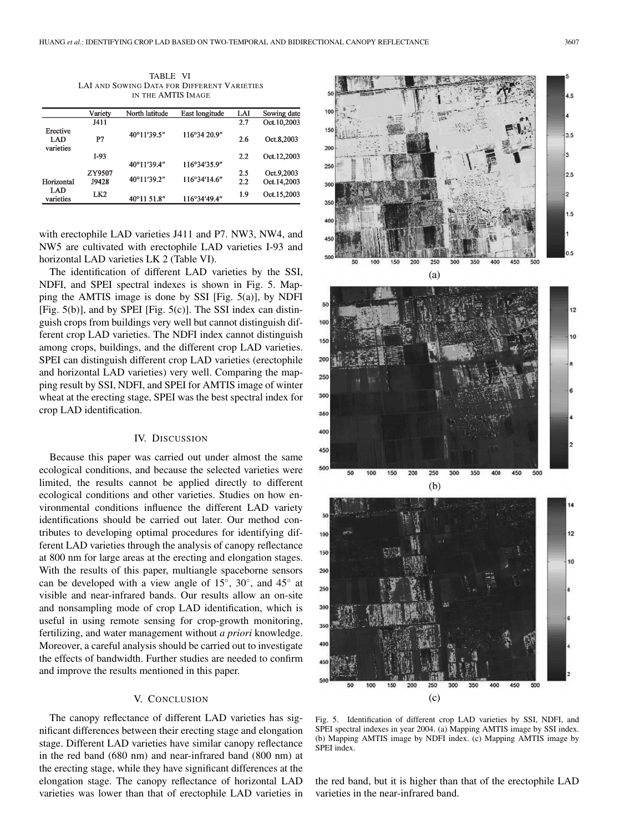TABLE VI LAI AND SOWING DATA FOR DIFFERENT VARIETIES IN THE AMTIS IMAGE

|                              | Variety         | North latitude | East longitude | LAI        | Sowing date               |
|------------------------------|-----------------|----------------|----------------|------------|---------------------------|
|                              | J411            |                |                | 2.7        | Oct.10,2003               |
| Erective<br>LAD<br>varieties | P7              | 40°11'39.5"    | 116°34 20.9"   | 2.6        | Oct.8,2003                |
|                              | $I-93$          |                |                | 2.2        | Oct.12,2003               |
|                              |                 | 40°11'39.4"    | 116°34'35.9"   |            |                           |
| Horizontal                   | ZY9507<br>J9428 | 40°11'39.2"    | 116°34'14.6"   | 2.5<br>2.2 | Oct.9.2003<br>Oct.14.2003 |
| LAD<br>varieties             | LK <sub>2</sub> | 40°11 51.8"    | 116°34'49.4"   | 1.9        | Oct.15,2003               |

with erectophile LAD varieties J411 and P7. NW3, NW4, and NW5 are cultivated with erectophile LAD varieties I-93 and horizontal LAD varieties LK 2 (Table VI).

The identification of different LAD varieties by the SSI, NDFI, and SPEI spectral indexes is shown in Fig. 5. Mapping the AMTIS image is done by SSI [Fig. 5(a)], by NDFI [Fig. 5(b)], and by SPEI [Fig. 5(c)]. The SSI index can distinguish crops from buildings very well but cannot distinguish different crop LAD varieties. The NDFI index cannot distinguish among crops, buildings, and the different crop LAD varieties. SPEI can distinguish different crop LAD varieties (erectophile and horizontal LAD varieties) very well. Comparing the mapping result by SSI, NDFI, and SPEI for AMTIS image of winter wheat at the erecting stage, SPEI was the best spectral index for crop LAD identification.

## IV. DISCUSSION

Because this paper was carried out under almost the same ecological conditions, and because the selected varieties were limited, the results cannot be applied directly to different ecological conditions and other varieties. Studies on how environmental conditions influence the different LAD variety identifications should be carried out later. Our method contributes to developing optimal procedures for identifying different LAD varieties through the analysis of canopy reflectance at 800 nm for large areas at the erecting and elongation stages. With the results of this paper, multiangle spaceborne sensors can be developed with a view angle of 15◦, 30◦, and 45◦ at visible and near-infrared bands. Our results allow an on-site and nonsampling mode of crop LAD identification, which is useful in using remote sensing for crop-growth monitoring, fertilizing, and water management without *a priori* knowledge. Moreover, a careful analysis should be carried out to investigate the effects of bandwidth. Further studies are needed to confirm and improve the results mentioned in this paper.

# V. CONCLUSION

The canopy reflectance of different LAD varieties has significant differences between their erecting stage and elongation stage. Different LAD varieties have similar canopy reflectance in the red band (680 nm) and near-infrared band (800 nm) at the erecting stage, while they have significant differences at the elongation stage. The canopy reflectance of horizontal LAD varieties was lower than that of erectophile LAD varieties in



Fig. 5. Identification of different crop LAD varieties by SSI, NDFI, and SPEI spectral indexes in year 2004. (a) Mapping AMTIS image by SSI index. (b) Mapping AMTIS image by NDFI index. (c) Mapping AMTIS image by SPEI index.

the red band, but it is higher than that of the erectophile LAD varieties in the near-infrared band.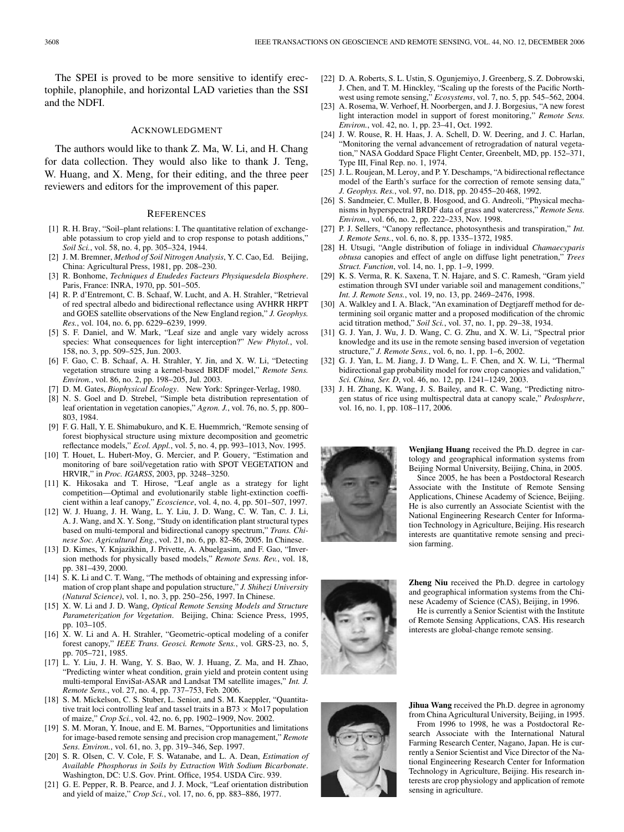The SPEI is proved to be more sensitive to identify erectophile, planophile, and horizontal LAD varieties than the SSI and the NDFI.

#### ACKNOWLEDGMENT

The authors would like to thank Z. Ma, W. Li, and H. Chang for data collection. They would also like to thank J. Teng, W. Huang, and X. Meng, for their editing, and the three peer reviewers and editors for the improvement of this paper.

#### **REFERENCES**

- [1] R. H. Bray, "Soil-plant relations: I. The quantitative relation of exchangeable potassium to crop yield and to crop response to potash additions," *Soil Sci.*, vol. 58, no. 4, pp. 305–324, 1944.
- [2] J. M. Bremner, *Method of Soil Nitrogen Analysis*, Y. C. Cao, Ed. Beijing, China: Agricultural Press, 1981, pp. 208–230.
- [3] R. Bonhome, *Techniques d Etudedes Facteurs Physiquesdela Biosphere*. Paris, France: INRA, 1970, pp. 501–505.
- [4] R. P. d'Entremont, C. B. Schaaf, W. Lucht, and A. H. Strahler, "Retrieval of red spectral albedo and bidirectional reflectance using AVHRR HRPT and GOES satellite observations of the New England region," *J. Geophys. Res.*, vol. 104, no. 6, pp. 6229–6239, 1999.
- [5] S. F. Daniel, and W. Mark, "Leaf size and angle vary widely across species: What consequences for light interception?" *New Phytol.*, vol. 158, no. 3, pp. 509–525, Jun. 2003.
- [6] F. Gao, C. B. Schaaf, A. H. Strahler, Y. Jin, and X. W. Li, "Detecting vegetation structure using a kernel-based BRDF model," *Remote Sens. Environ.*, vol. 86, no. 2, pp. 198–205, Jul. 2003.
- [7] D. M. Gates, *Biophysical Ecology*. New York: Springer-Verlag, 1980.
- [8] N. S. Goel and D. Strebel, "Simple beta distribution representation of leaf orientation in vegetation canopies," *Agron. J.*, vol. 76, no. 5, pp. 800– 803, 1984.
- [9] F. G. Hall, Y. E. Shimabukuro, and K. E. Huemmrich, "Remote sensing of forest biophysical structure using mixture decomposition and geometric reflectance models," *Ecol. Appl.*, vol. 5, no. 4, pp. 993–1013, Nov. 1995.
- [10] T. Houet, L. Hubert-Moy, G. Mercier, and P. Gouery, "Estimation and monitoring of bare soil/vegetation ratio with SPOT VEGETATION and HRVIR," in *Proc. IGARSS*, 2003, pp. 3248–3250.
- [11] K. Hikosaka and T. Hirose, "Leaf angle as a strategy for light competition—Optimal and evolutionarily stable light-extinction coefficient within a leaf canopy," *Ecoscience*, vol. 4, no. 4, pp. 501–507, 1997.
- [12] W. J. Huang, J. H. Wang, L. Y. Liu, J. D. Wang, C. W. Tan, C. J. Li, A. J. Wang, and X. Y. Song, "Study on identification plant structural types based on multi-temporal and bidirectional canopy spectrum," *Trans. Chinese Soc. Agricultural Eng.*, vol. 21, no. 6, pp. 82–86, 2005. In Chinese.
- [13] D. Kimes, Y. Knjazikhin, J. Privette, A. Abuelgasim, and F. Gao, "Inversion methods for physically based models," *Remote Sens. Rev.*, vol. 18, pp. 381–439, 2000.
- [14] S. K. Li and C. T. Wang, "The methods of obtaining and expressing information of crop plant shape and population structure," *J. Shihezi University (Natural Science)*, vol. 1, no. 3, pp. 250–256, 1997. In Chinese.
- [15] X. W. Li and J. D. Wang, *Optical Remote Sensing Models and Structure Parameterization for Vegetation*. Beijing, China: Science Press, 1995, pp. 103–105.
- [16] X. W. Li and A. H. Strahler, "Geometric-optical modeling of a conifer forest canopy," *IEEE Trans. Geosci. Remote Sens.*, vol. GRS-23, no. 5, pp. 705–721, 1985.
- [17] L. Y. Liu, J. H. Wang, Y. S. Bao, W. J. Huang, Z. Ma, and H. Zhao, "Predicting winter wheat condition, grain yield and protein content using multi-temporal EnviSat-ASAR and Landsat TM satellite images," *Int. J. Remote Sens.*, vol. 27, no. 4, pp. 737–753, Feb. 2006.
- [18] S. M. Mickelson, C. S. Stuber, L. Senior, and S. M. Kaeppler, "Quantitative trait loci controlling leaf and tassel traits in a B73 *×* Mo17 population of maize," *Crop Sci.*, vol. 42, no. 6, pp. 1902–1909, Nov. 2002.
- [19] S. M. Moran, Y. Inoue, and E. M. Barnes, "Opportunities and limitations for image-based remote sensing and precision crop management," *Remote Sens. Environ.*, vol. 61, no. 3, pp. 319–346, Sep. 1997.
- [20] S. R. Olsen, C. V. Cole, F. S. Watanabe, and L. A. Dean, *Estimation of Available Phosphorus in Soils by Extraction With Sodium Bicarbonate*. Washington, DC: U.S. Gov. Print. Office, 1954. USDA Circ. 939.
- [21] G. E. Pepper, R. B. Pearce, and J. J. Mock, "Leaf orientation distribution and yield of maize," *Crop Sci.*, vol. 17, no. 6, pp. 883–886, 1977.
- [22] D. A. Roberts, S. L. Ustin, S. Ogunjemiyo, J. Greenberg, S. Z. Dobrowski, J. Chen, and T. M. Hinckley, "Scaling up the forests of the Pacific Northwest using remote sensing," *Ecosystems*, vol. 7, no. 5, pp. 545–562, 2004.
- [23] A. Rosema, W. Verhoef, H. Noorbergen, and J. J. Borgesius, "A new forest light interaction model in support of forest monitoring," *Remote Sens. Environ.*, vol. 42, no. 1, pp. 23–41, Oct. 1992.
- [24] J. W. Rouse, R. H. Haas, J. A. Schell, D. W. Deering, and J. C. Harlan, "Monitoring the vernal advancement of retrogradation of natural vegetation," NASA Goddard Space Flight Center, Greenbelt, MD, pp. 152–371, Type III, Final Rep. no. 1, 1974.
- [25] J. L. Roujean, M. Leroy, and P. Y. Deschamps, "A bidirectional reflectance model of the Earth's surface for the correction of remote sensing data," *J. Geophys. Res.*, vol. 97, no. D18, pp. 20 455–20 468, 1992.
- [26] S. Sandmeier, C. Muller, B. Hosgood, and G. Andreoli, "Physical mechanisms in hyperspectral BRDF data of grass and watercress," *Remote Sens. Environ.*, vol. 66, no. 2, pp. 222–233, Nov. 1998.
- [27] P. J. Sellers, "Canopy reflectance, photosynthesis and transpiration," *Int. J. Remote Sens.*, vol. 6, no. 8, pp. 1335–1372, 1985.
- [28] H. Utsugi, "Angle distribution of foliage in individual *Chamaecyparis obtusa* canopies and effect of angle on diffuse light penetration," *Trees Struct. Function*, vol. 14, no. 1, pp. 1–9, 1999.
- [29] K. S. Verma, R. K. Saxena, T. N. Hajare, and S. C. Ramesh, "Gram yield estimation through SVI under variable soil and management conditions," *Int. J. Remote Sens.*, vol. 19, no. 13, pp. 2469–2476, 1998.
- [30] A. Walkley and I. A. Black, "An examination of Degtjareff method for determining soil organic matter and a proposed modification of the chromic acid titration method," *Soil Sci.*, vol. 37, no. 1, pp. 29–38, 1934.
- [31] G. J. Yan, J. Wu, J. D. Wang, C. G. Zhu, and X. W. Li, "Spectral prior knowledge and its use in the remote sensing based inversion of vegetation structure," *J. Remote Sens.*, vol. 6, no. 1, pp. 1–6, 2002.
- [32] G. J. Yan, L. M. Jiang, J. D Wang, L. F. Chen, and X. W. Li, "Thermal bidirectional gap probability model for row crop canopies and validation," *Sci. China, Ser. D*, vol. 46, no. 12, pp. 1241–1249, 2003.
- [33] J. H. Zhang, K. Wang, J. S. Bailey, and R. C. Wang, "Predicting nitrogen status of rice using multispectral data at canopy scale," *Pedosphere*, vol. 16, no. 1, pp. 108–117, 2006.



**Wenjiang Huang** received the Ph.D. degree in cartology and geographical information systems from Beijing Normal University, Beijing, China, in 2005.

Since 2005, he has been a Postdoctoral Research Associate with the Institute of Remote Sensing Applications, Chinese Academy of Science, Beijing. He is also currently an Associate Scientist with the National Engineering Research Center for Information Technology in Agriculture, Beijing. His research interests are quantitative remote sensing and precision farming.



**Zheng Niu** received the Ph.D. degree in cartology and geographical information systems from the Chinese Academy of Science (CAS), Beijing, in 1996.

He is currently a Senior Scientist with the Institute of Remote Sensing Applications, CAS. His research interests are global-change remote sensing.



**Jihua Wang** received the Ph.D. degree in agronomy from China Agricultural University, Beijing, in 1995.

From 1996 to 1998, he was a Postdoctoral Research Associate with the International Natural Farming Research Center, Nagano, Japan. He is currently a Senior Scientist and Vice Director of the National Engineering Research Center for Information Technology in Agriculture, Beijing. His research interests are crop physiology and application of remote sensing in agriculture.